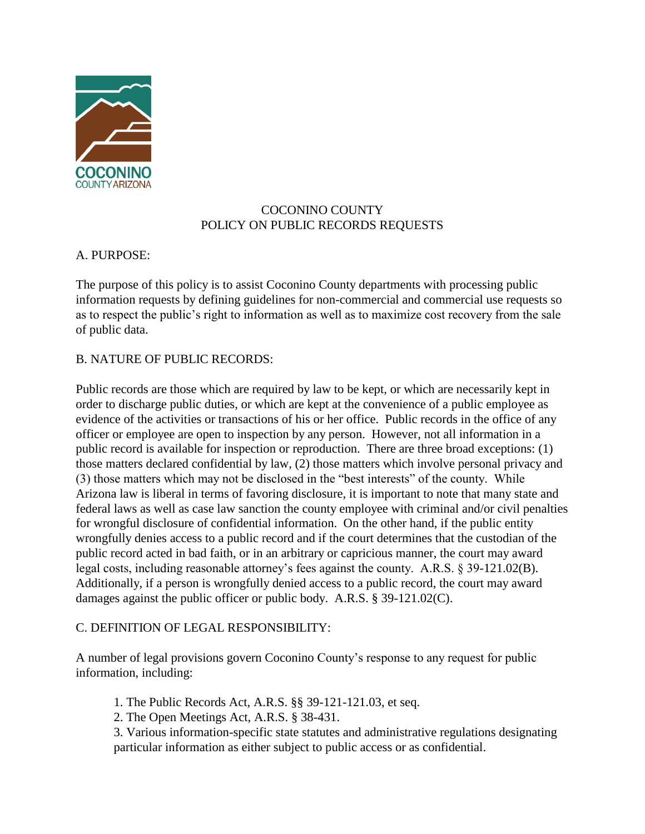

# COCONINO COUNTY POLICY ON PUBLIC RECORDS REQUESTS

## A. PURPOSE:

The purpose of this policy is to assist Coconino County departments with processing public information requests by defining guidelines for non-commercial and commercial use requests so as to respect the public's right to information as well as to maximize cost recovery from the sale of public data.

## B. NATURE OF PUBLIC RECORDS:

Public records are those which are required by law to be kept, or which are necessarily kept in order to discharge public duties, or which are kept at the convenience of a public employee as evidence of the activities or transactions of his or her office. Public records in the office of any officer or employee are open to inspection by any person. However, not all information in a public record is available for inspection or reproduction. There are three broad exceptions: (1) those matters declared confidential by law, (2) those matters which involve personal privacy and (3) those matters which may not be disclosed in the "best interests" of the county. While Arizona law is liberal in terms of favoring disclosure, it is important to note that many state and federal laws as well as case law sanction the county employee with criminal and/or civil penalties for wrongful disclosure of confidential information. On the other hand, if the public entity wrongfully denies access to a public record and if the court determines that the custodian of the public record acted in bad faith, or in an arbitrary or capricious manner, the court may award legal costs, including reasonable attorney's fees against the county. A.R.S. § 39-121.02(B). Additionally, if a person is wrongfully denied access to a public record, the court may award damages against the public officer or public body. A.R.S. § 39-121.02(C).

## C. DEFINITION OF LEGAL RESPONSIBILITY:

A number of legal provisions govern Coconino County's response to any request for public information, including:

1. The Public Records Act, A.R.S. §§ 39-121-121.03, et seq.

2. The Open Meetings Act, A.R.S. § 38-431.

3. Various information-specific state statutes and administrative regulations designating particular information as either subject to public access or as confidential.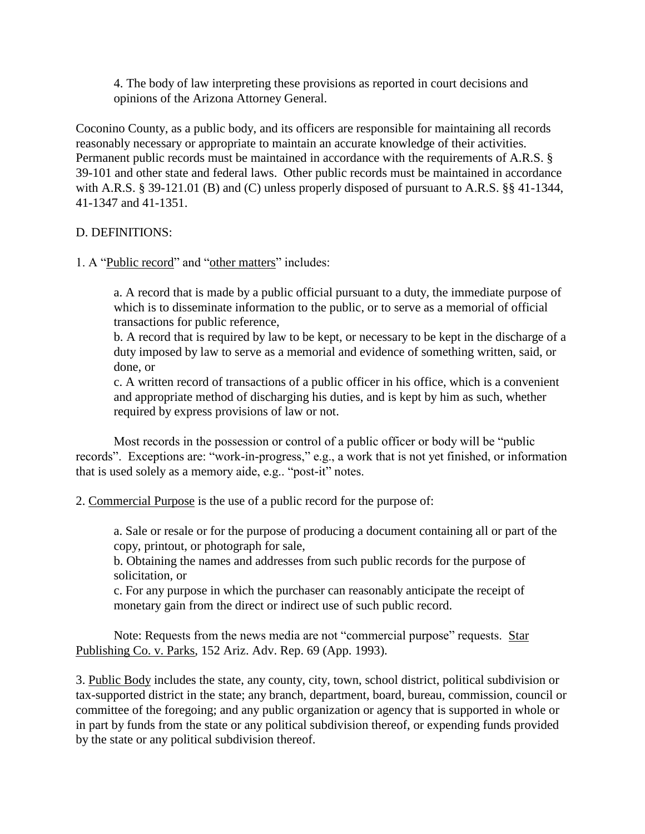4. The body of law interpreting these provisions as reported in court decisions and opinions of the Arizona Attorney General.

Coconino County, as a public body, and its officers are responsible for maintaining all records reasonably necessary or appropriate to maintain an accurate knowledge of their activities. Permanent public records must be maintained in accordance with the requirements of A.R.S. § 39-101 and other state and federal laws. Other public records must be maintained in accordance with A.R.S. § 39-121.01 (B) and (C) unless properly disposed of pursuant to A.R.S. §§ 41-1344, 41-1347 and 41-1351.

### D. DEFINITIONS:

1. A "Public record" and "other matters" includes:

a. A record that is made by a public official pursuant to a duty, the immediate purpose of which is to disseminate information to the public, or to serve as a memorial of official transactions for public reference,

b. A record that is required by law to be kept, or necessary to be kept in the discharge of a duty imposed by law to serve as a memorial and evidence of something written, said, or done, or

c. A written record of transactions of a public officer in his office, which is a convenient and appropriate method of discharging his duties, and is kept by him as such, whether required by express provisions of law or not.

Most records in the possession or control of a public officer or body will be "public records". Exceptions are: "work-in-progress," e.g., a work that is not yet finished, or information that is used solely as a memory aide, e.g.. "post-it" notes.

2. Commercial Purpose is the use of a public record for the purpose of:

a. Sale or resale or for the purpose of producing a document containing all or part of the copy, printout, or photograph for sale,

b. Obtaining the names and addresses from such public records for the purpose of solicitation, or

c. For any purpose in which the purchaser can reasonably anticipate the receipt of monetary gain from the direct or indirect use of such public record.

Note: Requests from the news media are not "commercial purpose" requests. Star Publishing Co. v. Parks, 152 Ariz. Adv. Rep. 69 (App. 1993).

3. Public Body includes the state, any county, city, town, school district, political subdivision or tax-supported district in the state; any branch, department, board, bureau, commission, council or committee of the foregoing; and any public organization or agency that is supported in whole or in part by funds from the state or any political subdivision thereof, or expending funds provided by the state or any political subdivision thereof.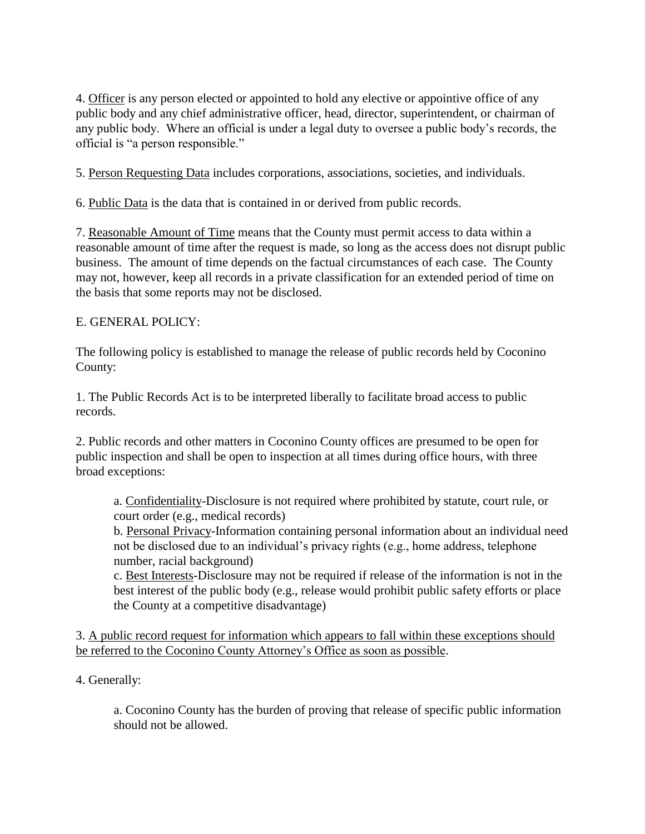4. Officer is any person elected or appointed to hold any elective or appointive office of any public body and any chief administrative officer, head, director, superintendent, or chairman of any public body. Where an official is under a legal duty to oversee a public body's records, the official is "a person responsible."

5. Person Requesting Data includes corporations, associations, societies, and individuals.

6. Public Data is the data that is contained in or derived from public records.

7. Reasonable Amount of Time means that the County must permit access to data within a reasonable amount of time after the request is made, so long as the access does not disrupt public business. The amount of time depends on the factual circumstances of each case. The County may not, however, keep all records in a private classification for an extended period of time on the basis that some reports may not be disclosed.

## E. GENERAL POLICY:

The following policy is established to manage the release of public records held by Coconino County:

1. The Public Records Act is to be interpreted liberally to facilitate broad access to public records.

2. Public records and other matters in Coconino County offices are presumed to be open for public inspection and shall be open to inspection at all times during office hours, with three broad exceptions:

a. Confidentiality-Disclosure is not required where prohibited by statute, court rule, or court order (e.g., medical records)

b. Personal Privacy-Information containing personal information about an individual need not be disclosed due to an individual's privacy rights (e.g., home address, telephone number, racial background)

c. Best Interests-Disclosure may not be required if release of the information is not in the best interest of the public body (e.g., release would prohibit public safety efforts or place the County at a competitive disadvantage)

3. A public record request for information which appears to fall within these exceptions should be referred to the Coconino County Attorney's Office as soon as possible.

4. Generally:

a. Coconino County has the burden of proving that release of specific public information should not be allowed.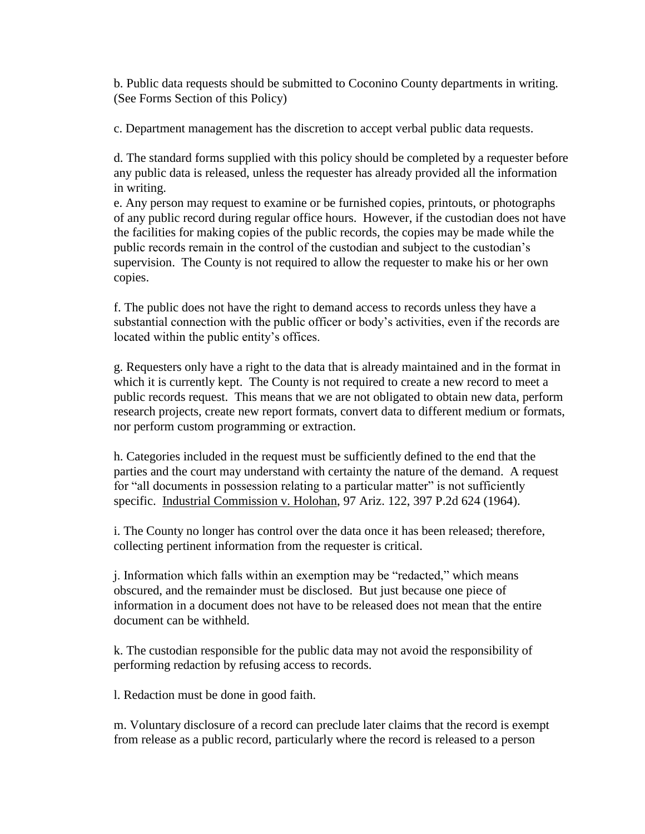b. Public data requests should be submitted to Coconino County departments in writing. (See Forms Section of this Policy)

c. Department management has the discretion to accept verbal public data requests.

d. The standard forms supplied with this policy should be completed by a requester before any public data is released, unless the requester has already provided all the information in writing.

e. Any person may request to examine or be furnished copies, printouts, or photographs of any public record during regular office hours. However, if the custodian does not have the facilities for making copies of the public records, the copies may be made while the public records remain in the control of the custodian and subject to the custodian's supervision. The County is not required to allow the requester to make his or her own copies.

f. The public does not have the right to demand access to records unless they have a substantial connection with the public officer or body's activities, even if the records are located within the public entity's offices.

g. Requesters only have a right to the data that is already maintained and in the format in which it is currently kept. The County is not required to create a new record to meet a public records request. This means that we are not obligated to obtain new data, perform research projects, create new report formats, convert data to different medium or formats, nor perform custom programming or extraction.

h. Categories included in the request must be sufficiently defined to the end that the parties and the court may understand with certainty the nature of the demand. A request for "all documents in possession relating to a particular matter" is not sufficiently specific. Industrial Commission v. Holohan, 97 Ariz. 122, 397 P.2d 624 (1964).

i. The County no longer has control over the data once it has been released; therefore, collecting pertinent information from the requester is critical.

j. Information which falls within an exemption may be "redacted," which means obscured, and the remainder must be disclosed. But just because one piece of information in a document does not have to be released does not mean that the entire document can be withheld.

k. The custodian responsible for the public data may not avoid the responsibility of performing redaction by refusing access to records.

l. Redaction must be done in good faith.

m. Voluntary disclosure of a record can preclude later claims that the record is exempt from release as a public record, particularly where the record is released to a person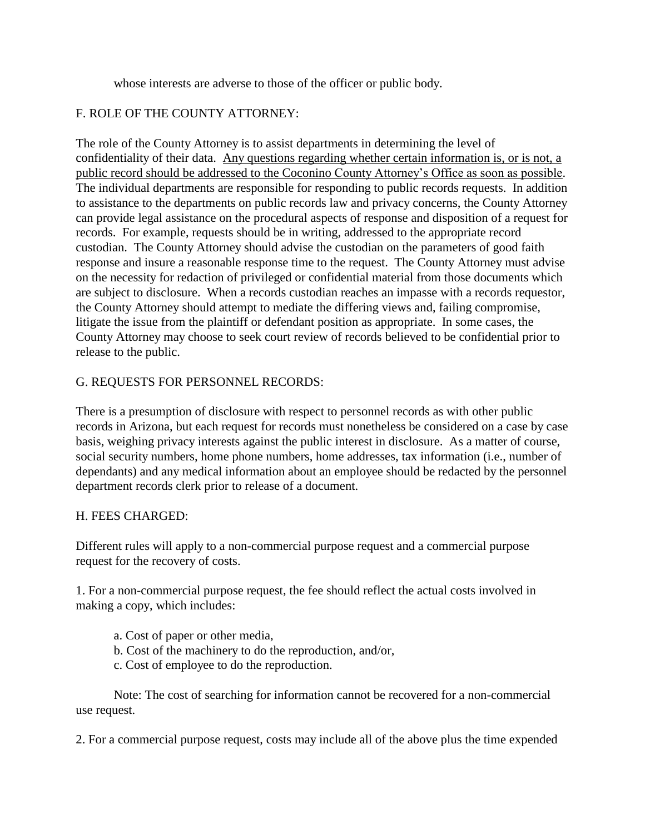whose interests are adverse to those of the officer or public body.

# F. ROLE OF THE COUNTY ATTORNEY:

The role of the County Attorney is to assist departments in determining the level of confidentiality of their data. Any questions regarding whether certain information is, or is not, a public record should be addressed to the Coconino County Attorney's Office as soon as possible. The individual departments are responsible for responding to public records requests. In addition to assistance to the departments on public records law and privacy concerns, the County Attorney can provide legal assistance on the procedural aspects of response and disposition of a request for records. For example, requests should be in writing, addressed to the appropriate record custodian. The County Attorney should advise the custodian on the parameters of good faith response and insure a reasonable response time to the request. The County Attorney must advise on the necessity for redaction of privileged or confidential material from those documents which are subject to disclosure. When a records custodian reaches an impasse with a records requestor, the County Attorney should attempt to mediate the differing views and, failing compromise, litigate the issue from the plaintiff or defendant position as appropriate. In some cases, the County Attorney may choose to seek court review of records believed to be confidential prior to release to the public.

# G. REQUESTS FOR PERSONNEL RECORDS:

There is a presumption of disclosure with respect to personnel records as with other public records in Arizona, but each request for records must nonetheless be considered on a case by case basis, weighing privacy interests against the public interest in disclosure. As a matter of course, social security numbers, home phone numbers, home addresses, tax information (i.e., number of dependants) and any medical information about an employee should be redacted by the personnel department records clerk prior to release of a document.

## H. FEES CHARGED:

Different rules will apply to a non-commercial purpose request and a commercial purpose request for the recovery of costs.

1. For a non-commercial purpose request, the fee should reflect the actual costs involved in making a copy, which includes:

- a. Cost of paper or other media,
- b. Cost of the machinery to do the reproduction, and/or,
- c. Cost of employee to do the reproduction.

Note: The cost of searching for information cannot be recovered for a non-commercial use request.

2. For a commercial purpose request, costs may include all of the above plus the time expended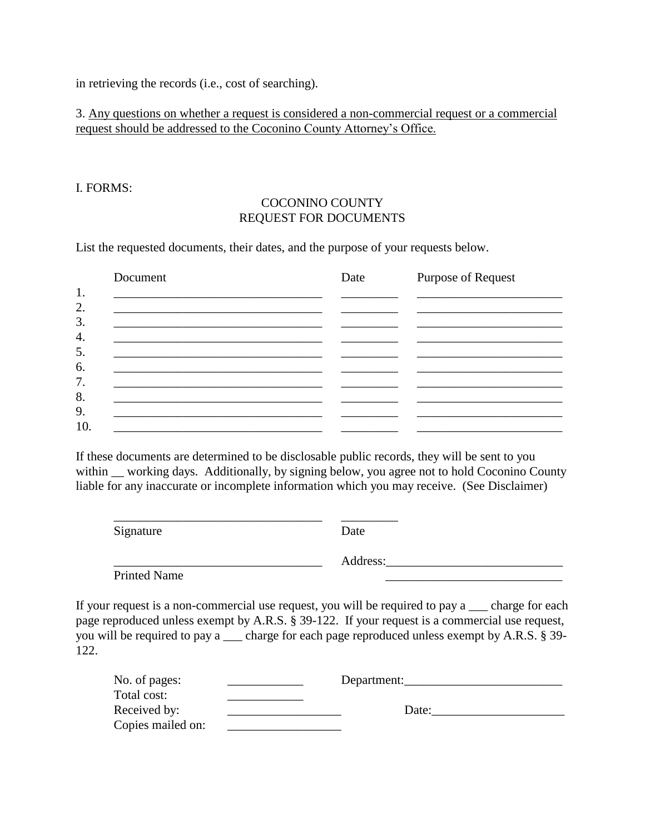in retrieving the records (i.e., cost of searching).

# 3. Any questions on whether a request is considered a non-commercial request or a commercial request should be addressed to the Coconino County Attorney's Office.

#### I. FORMS:

## COCONINO COUNTY REQUEST FOR DOCUMENTS

List the requested documents, their dates, and the purpose of your requests below.

| Document                                                    | Date | Purpose of Request |  |
|-------------------------------------------------------------|------|--------------------|--|
|                                                             |      |                    |  |
| <u> 1989 - Johann Stoff, amerikansk politiker (d. 1989)</u> |      |                    |  |
|                                                             |      |                    |  |
|                                                             |      |                    |  |
|                                                             |      |                    |  |
|                                                             |      |                    |  |
|                                                             |      |                    |  |
|                                                             |      |                    |  |
|                                                             |      |                    |  |

If these documents are determined to be disclosable public records, they will be sent to you within working days. Additionally, by signing below, you agree not to hold Coconino County liable for any inaccurate or incomplete information which you may receive. (See Disclaimer)

\_\_\_\_\_\_\_\_\_\_\_\_\_\_\_\_\_\_\_\_\_\_\_\_\_\_\_\_\_\_\_\_\_ \_\_\_\_\_\_\_\_\_

Signature Date

Printed Name

\_\_\_\_\_\_\_\_\_\_\_\_\_\_\_\_\_\_\_\_\_\_\_\_\_\_\_\_\_\_\_\_\_ Address:\_\_\_\_\_\_\_\_\_\_\_\_\_\_\_\_\_\_\_\_\_\_\_\_\_\_\_\_

If your request is a non-commercial use request, you will be required to pay a \_\_\_ charge for each page reproduced unless exempt by A.R.S. § 39-122. If your request is a commercial use request, you will be required to pay a \_\_\_ charge for each page reproduced unless exempt by A.R.S. § 39- 122.

| No. of pages:     | Department: |  |
|-------------------|-------------|--|
| Total cost:       |             |  |
| Received by:      | Date:       |  |
| Copies mailed on: |             |  |